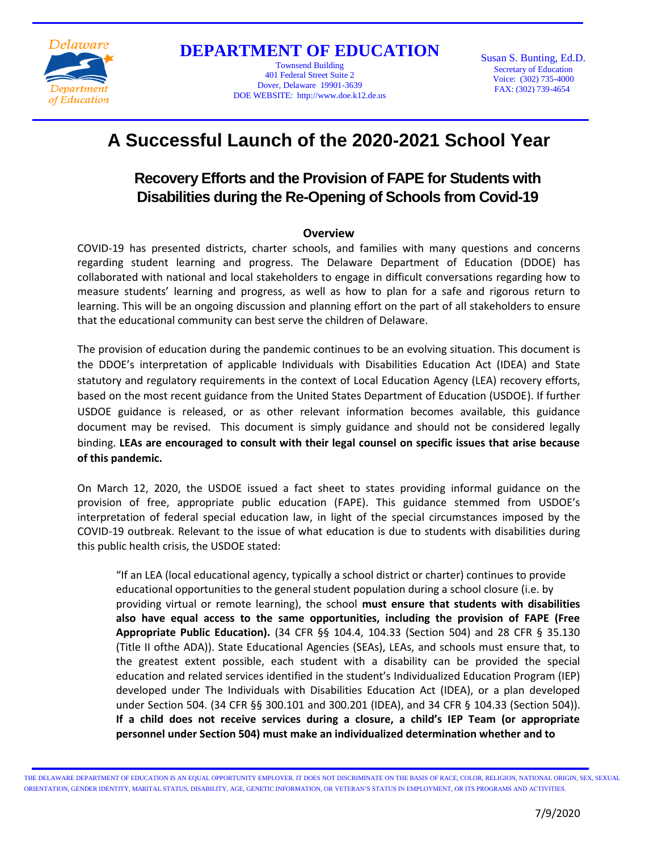

**DEPARTMENT OF EDUCATION**

Townsend Building 401 Federal Street Suite 2 Dover, Delaware 19901-3639 DOE WEBSITE: http://www.doe.k12.de.us Susan S. Bunting, Ed.D. Secretary of Education Voice: (302) 735-4000 FAX: (302) 739-4654

# **A Successful Launch of the 2020-2021 School Year**

# **Recovery Efforts and the Provision of FAPE for Students with Disabilities during the Re-Opening of Schools from Covid-19**

#### **Overview**

COVID-19 has presented districts, charter schools, and families with many questions and concerns regarding student learning and progress. The Delaware Department of Education (DDOE) has collaborated with national and local stakeholders to engage in difficult conversations regarding how to measure students' learning and progress, as well as how to plan for a safe and rigorous return to learning. This will be an ongoing discussion and planning effort on the part of all stakeholders to ensure that the educational community can best serve the children of Delaware.

The provision of education during the pandemic continues to be an evolving situation. This document is the DDOE's interpretation of applicable Individuals with Disabilities Education Act (IDEA) and State statutory and regulatory requirements in the context of Local Education Agency (LEA) recovery efforts, based on the most recent guidance from the United States Department of Education (USDOE). If further USDOE guidance is released, or as other relevant information becomes available, this guidance document may be revised. This document is simply guidance and should not be considered legally binding. **LEAs are encouraged to consult with their legal counsel on specific issues that arise because of this pandemic.**

On March 12, 2020, the USDOE issued a fact sheet to states providing informal guidance on the provision of free, appropriate public education (FAPE). This guidance stemmed from USDOE's interpretation of federal special education law, in light of the special circumstances imposed by the COVID-19 outbreak. Relevant to the issue of what education is due to students with disabilities during this public health crisis, the USDOE stated:

"If an LEA (local educational agency, typically a school district or charter) continues to provide educational opportunities to the general student population during a school closure (i.e. by providing virtual or remote learning), the school **must ensure that students with disabilities also have equal access to the same opportunities, including the provision of FAPE (Free Appropriate Public Education).** (34 CFR §§ 104.4, 104.33 (Section 504) and 28 CFR § 35.130 (Title II ofthe ADA)). State Educational Agencies (SEAs), LEAs, and schools must ensure that, to the greatest extent possible, each student with a disability can be provided the special education and related services identified in the student's Individualized Education Program (IEP) developed under The Individuals with Disabilities Education Act (IDEA), or a plan developed under Section 504. (34 CFR §§ 300.101 and 300.201 (IDEA), and 34 CFR § 104.33 (Section 504)). **If a child does not receive services during a closure, a child's IEP Team (or appropriate personnel under Section 504) must make an individualized determination whether and to**

THE DELAWARE DEPARTMENT OF EDUCATION IS AN EQUAL OPPORTUNITY EMPLOYER. IT DOES NOT DISCRIMINATE ON THE BASIS OF RACE, COLOR, RELIGION, NATIONAL ORIGIN, SEX, SEXUAL ORIENTATION, GENDER IDENTITY, MARITAL STATUS, DISABILITY, AGE, GENETIC INFORMATION, OR VETERAN'S STATUS IN EMPLOYMENT, OR ITS PROGRAMS AND ACTIVITIES.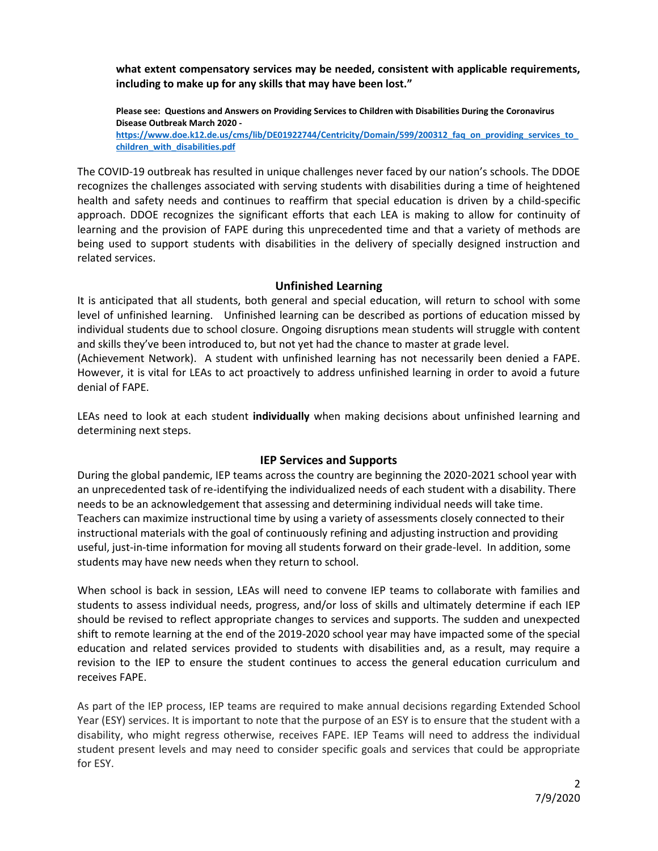**what extent compensatory services may be needed, consistent with applicable requirements, including to make up for any skills that may have been lost."**

**Please see: Questions and Answers on Providing Services to Children with Disabilities During the Coronavirus Disease Outbreak March 2020 -**

**[https://www.doe.k12.de.us/cms/lib/DE01922744/Centricity/Domain/599/200312\\_faq\\_on\\_providing\\_services\\_to\\_](https://www.doe.k12.de.us/cms/lib/DE01922744/Centricity/Domain/599/200312_faq_on_providing_services_to_children_with_disabilities.pdf) [children\\_with\\_disabilities.pdf](https://www.doe.k12.de.us/cms/lib/DE01922744/Centricity/Domain/599/200312_faq_on_providing_services_to_children_with_disabilities.pdf)**

The COVID-19 outbreak has resulted in unique challenges never faced by our nation's schools. The DDOE recognizes the challenges associated with serving students with disabilities during a time of heightened health and safety needs and continues to reaffirm that special education is driven by a child-specific approach. DDOE recognizes the significant efforts that each LEA is making to allow for continuity of learning and the provision of FAPE during this unprecedented time and that a variety of methods are being used to support students with disabilities in the delivery of specially designed instruction and related services.

#### **Unfinished Learning**

It is anticipated that all students, both general and special education, will return to school with some level of unfinished learning. Unfinished learning can be described as portions of education missed by individual students due to school closure. Ongoing disruptions mean students will struggle with content and skills they've been introduced to, but not yet had the chance to master at grade level. (Achievement Network). A student with unfinished learning has not necessarily been denied a FAPE.

However, it is vital for LEAs to act proactively to address unfinished learning in order to avoid a future denial of FAPE.

LEAs need to look at each student **individually** when making decisions about unfinished learning and determining next steps.

# **IEP Services and Supports**

During the global pandemic, IEP teams across the country are beginning the 2020-2021 school year with an unprecedented task of re-identifying the individualized needs of each student with a disability. There needs to be an acknowledgement that assessing and determining individual needs will take time. Teachers can maximize instructional time by using a variety of assessments closely connected to their instructional materials with the goal of continuously refining and adjusting instruction and providing useful, just-in-time information for moving all students forward on their grade-level. In addition, some students may have new needs when they return to school.

When school is back in session, LEAs will need to convene IEP teams to collaborate with families and students to assess individual needs, progress, and/or loss of skills and ultimately determine if each IEP should be revised to reflect appropriate changes to services and supports. The sudden and unexpected shift to remote learning at the end of the 2019-2020 school year may have impacted some of the special education and related services provided to students with disabilities and, as a result, may require a revision to the IEP to ensure the student continues to access the general education curriculum and receives FAPE.

As part of the IEP process, IEP teams are required to make annual decisions regarding Extended School Year (ESY) services. It is important to note that the purpose of an ESY is to ensure that the student with a disability, who might regress otherwise, receives FAPE. IEP Teams will need to address the individual student present levels and may need to consider specific goals and services that could be appropriate for ESY.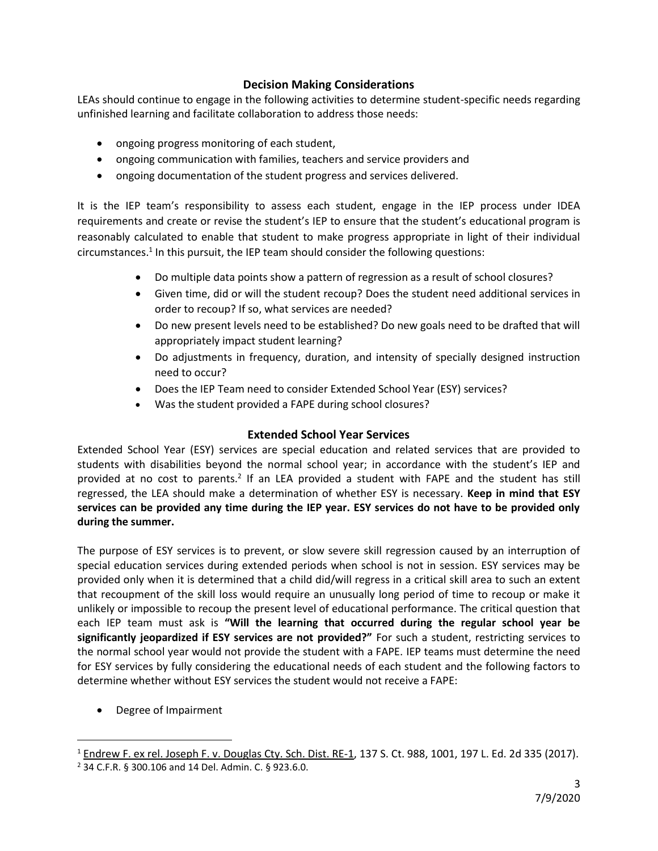# **Decision Making Considerations**

LEAs should continue to engage in the following activities to determine student-specific needs regarding unfinished learning and facilitate collaboration to address those needs:

- ongoing progress monitoring of each student,
- ongoing communication with families, teachers and service providers and
- ongoing documentation of the student progress and services delivered.

It is the IEP team's responsibility to assess each student, engage in the IEP process under IDEA requirements and create or revise the student's IEP to ensure that the student's educational program is reasonably calculated to enable that student to make progress appropriate in light of their individual circumstances.<sup>1</sup> In this pursuit, the IEP team should consider the following questions:

- Do multiple data points show a pattern of regression as a result of school closures?
- Given time, did or will the student recoup? Does the student need additional services in order to recoup? If so, what services are needed?
- Do new present levels need to be established? Do new goals need to be drafted that will appropriately impact student learning?
- Do adjustments in frequency, duration, and intensity of specially designed instruction need to occur?
- Does the IEP Team need to consider Extended School Year (ESY) services?
- Was the student provided a FAPE during school closures?

# **Extended School Year Services**

Extended School Year (ESY) services are special education and related services that are provided to students with disabilities beyond the normal school year; in accordance with the student's IEP and provided at no cost to parents.<sup>2</sup> If an LEA provided a student with FAPE and the student has still regressed, the LEA should make a determination of whether ESY is necessary. **Keep in mind that ESY services can be provided any time during the IEP year. ESY services do not have to be provided only during the summer.**

The purpose of ESY services is to prevent, or slow severe skill regression caused by an interruption of special education services during extended periods when school is not in session. ESY services may be provided only when it is determined that a child did/will regress in a critical skill area to such an extent that recoupment of the skill loss would require an unusually long period of time to recoup or make it unlikely or impossible to recoup the present level of educational performance. The critical question that each IEP team must ask is **"Will the learning that occurred during the regular school year be significantly jeopardized if ESY services are not provided?"** For such a student, restricting services to the normal school year would not provide the student with a FAPE. IEP teams must determine the need for ESY services by fully considering the educational needs of each student and the following factors to determine whether without ESY services the student would not receive a FAPE:

• Degree of Impairment

 $\overline{a}$ 

<sup>&</sup>lt;sup>1</sup> Endrew F. ex rel. Joseph F. v. Douglas Cty. Sch. Dist. RE-1, 137 S. Ct. 988, 1001, 197 L. Ed. 2d 335 (2017). <sup>2</sup> 34 C.F.R. § 300.106 and 14 Del. Admin. C. § 923.6.0.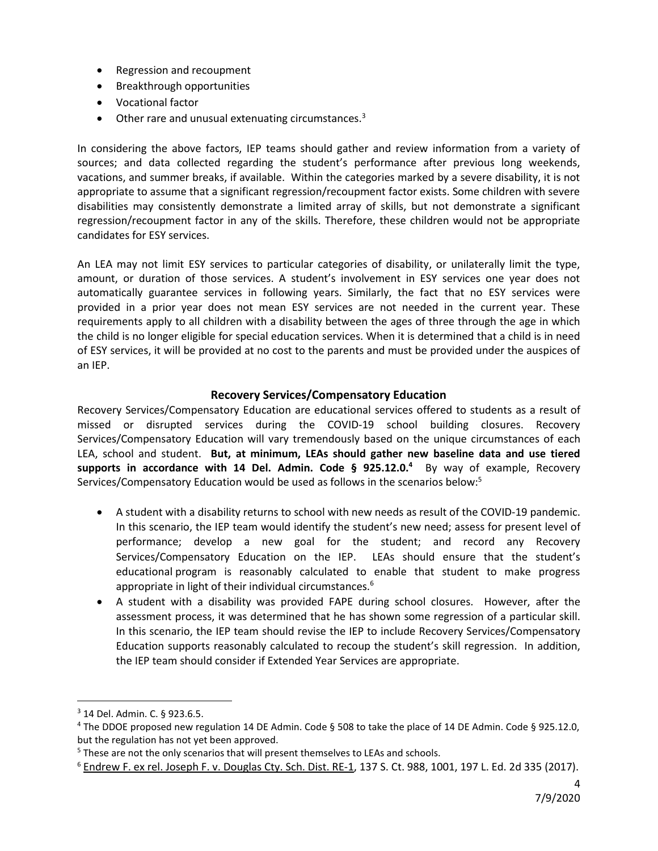- Regression and recoupment
- Breakthrough opportunities
- Vocational factor
- $\bullet$  Other rare and unusual extenuating circumstances.<sup>3</sup>

In considering the above factors, IEP teams should gather and review information from a variety of sources; and data collected regarding the student's performance after previous long weekends, vacations, and summer breaks, if available. Within the categories marked by a severe disability, it is not appropriate to assume that a significant regression/recoupment factor exists. Some children with severe disabilities may consistently demonstrate a limited array of skills, but not demonstrate a significant regression/recoupment factor in any of the skills. Therefore, these children would not be appropriate candidates for ESY services.

An LEA may not limit ESY services to particular categories of disability, or unilaterally limit the type, amount, or duration of those services. A student's involvement in ESY services one year does not automatically guarantee services in following years. Similarly, the fact that no ESY services were provided in a prior year does not mean ESY services are not needed in the current year. These requirements apply to all children with a disability between the ages of three through the age in which the child is no longer eligible for special education services. When it is determined that a child is in need of ESY services, it will be provided at no cost to the parents and must be provided under the auspices of an IEP.

#### **Recovery Services/Compensatory Education**

Recovery Services/Compensatory Education are educational services offered to students as a result of missed or disrupted services during the COVID-19 school building closures. Recovery Services/Compensatory Education will vary tremendously based on the unique circumstances of each LEA, school and student. **But, at minimum, LEAs should gather new baseline data and use tiered supports in accordance with 14 Del. Admin. Code § 925.12.0.<sup>4</sup>** By way of example, Recovery Services/Compensatory Education would be used as follows in the scenarios below:<sup>5</sup>

- A student with a disability returns to school with new needs as result of the COVID-19 pandemic. In this scenario, the IEP team would identify the student's new need; assess for present level of performance; develop a new goal for the student; and record any Recovery Services/Compensatory Education on the IEP. LEAs should ensure that the student's educational program is reasonably calculated to enable that student to make progress appropriate in light of their individual circumstances.<sup>6</sup>
- A student with a disability was provided FAPE during school closures. However, after the assessment process, it was determined that he has shown some regression of a particular skill. In this scenario, the IEP team should revise the IEP to include Recovery Services/Compensatory Education supports reasonably calculated to recoup the student's skill regression. In addition, the IEP team should consider if Extended Year Services are appropriate.

 $\overline{a}$ 

<sup>3</sup> 14 Del. Admin. C. § 923.6.5.

<sup>4</sup> The DDOE proposed new regulation 14 DE Admin. Code § 508 to take the place of 14 DE Admin. Code § 925.12.0, but the regulation has not yet been approved.

<sup>&</sup>lt;sup>5</sup> These are not the only scenarios that will present themselves to LEAs and schools.

<sup>6</sup> Endrew F. ex rel. Joseph F. v. Douglas Cty. Sch. Dist. RE-1, 137 S. Ct. 988, 1001, 197 L. Ed. 2d 335 (2017).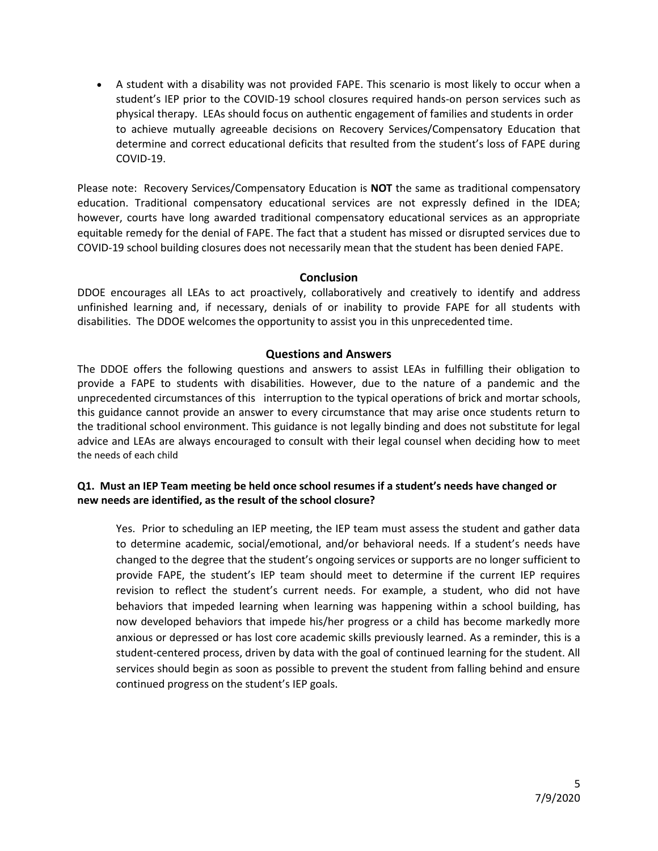A student with a disability was not provided FAPE. This scenario is most likely to occur when a student's IEP prior to the COVID-19 school closures required hands-on person services such as physical therapy. LEAs should focus on authentic engagement of families and students in order to achieve mutually agreeable decisions on Recovery Services/Compensatory Education that determine and correct educational deficits that resulted from the student's loss of FAPE during COVID-19.

Please note: Recovery Services/Compensatory Education is **NOT** the same as traditional compensatory education. Traditional compensatory educational services are not expressly defined in the IDEA; however, courts have long awarded traditional compensatory educational services as an appropriate equitable remedy for the denial of FAPE. The fact that a student has missed or disrupted services due to COVID-19 school building closures does not necessarily mean that the student has been denied FAPE.

#### **Conclusion**

DDOE encourages all LEAs to act proactively, collaboratively and creatively to identify and address unfinished learning and, if necessary, denials of or inability to provide FAPE for all students with disabilities. The DDOE welcomes the opportunity to assist you in this unprecedented time.

#### **Questions and Answers**

The DDOE offers the following questions and answers to assist LEAs in fulfilling their obligation to provide a FAPE to students with disabilities. However, due to the nature of a pandemic and the unprecedented circumstances of this interruption to the typical operations of brick and mortar schools, this guidance cannot provide an answer to every circumstance that may arise once students return to the traditional school environment. This guidance is not legally binding and does not substitute for legal advice and LEAs are always encouraged to consult with their legal counsel when deciding how to meet the needs of each child

# **Q1. Must an IEP Team meeting be held once school resumes if a student's needs have changed or new needs are identified, as the result of the school closure?**

Yes. Prior to scheduling an IEP meeting, the IEP team must assess the student and gather data to determine academic, social/emotional, and/or behavioral needs. If a student's needs have changed to the degree that the student's ongoing services or supports are no longer sufficient to provide FAPE, the student's IEP team should meet to determine if the current IEP requires revision to reflect the student's current needs. For example, a student, who did not have behaviors that impeded learning when learning was happening within a school building, has now developed behaviors that impede his/her progress or a child has become markedly more anxious or depressed or has lost core academic skills previously learned. As a reminder, this is a student-centered process, driven by data with the goal of continued learning for the student. All services should begin as soon as possible to prevent the student from falling behind and ensure continued progress on the student's IEP goals.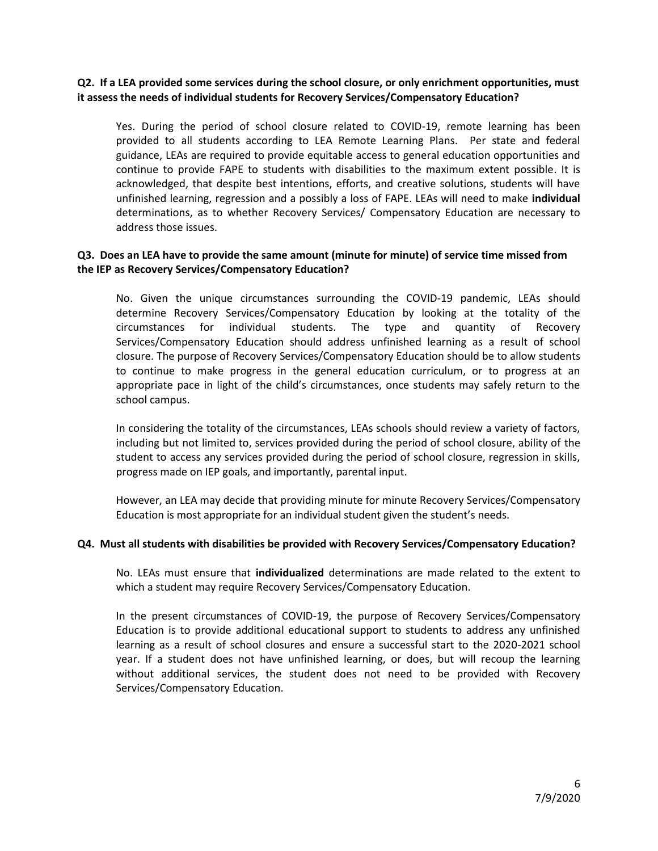#### **Q2. If a LEA provided some services during the school closure, or only enrichment opportunities, must it assess the needs of individual students for Recovery Services/Compensatory Education?**

Yes. During the period of school closure related to COVID-19, remote learning has been provided to all students according to LEA Remote Learning Plans. Per state and federal guidance, LEAs are required to provide equitable access to general education opportunities and continue to provide FAPE to students with disabilities to the maximum extent possible. It is acknowledged, that despite best intentions, efforts, and creative solutions, students will have unfinished learning, regression and a possibly a loss of FAPE. LEAs will need to make **individual**  determinations, as to whether Recovery Services/ Compensatory Education are necessary to address those issues.

#### **Q3. Does an LEA have to provide the same amount (minute for minute) of service time missed from the IEP as Recovery Services/Compensatory Education?**

No. Given the unique circumstances surrounding the COVID-19 pandemic, LEAs should determine Recovery Services/Compensatory Education by looking at the totality of the circumstances for individual students. The type and quantity of Recovery Services/Compensatory Education should address unfinished learning as a result of school closure. The purpose of Recovery Services/Compensatory Education should be to allow students to continue to make progress in the general education curriculum, or to progress at an appropriate pace in light of the child's circumstances, once students may safely return to the school campus.

In considering the totality of the circumstances, LEAs schools should review a variety of factors, including but not limited to, services provided during the period of school closure, ability of the student to access any services provided during the period of school closure, regression in skills, progress made on IEP goals, and importantly, parental input.

However, an LEA may decide that providing minute for minute Recovery Services/Compensatory Education is most appropriate for an individual student given the student's needs.

#### **Q4. Must all students with disabilities be provided with Recovery Services/Compensatory Education?**

No. LEAs must ensure that **individualized** determinations are made related to the extent to which a student may require Recovery Services/Compensatory Education.

In the present circumstances of COVID-19, the purpose of Recovery Services/Compensatory Education is to provide additional educational support to students to address any unfinished learning as a result of school closures and ensure a successful start to the 2020-2021 school year. If a student does not have unfinished learning, or does, but will recoup the learning without additional services, the student does not need to be provided with Recovery Services/Compensatory Education.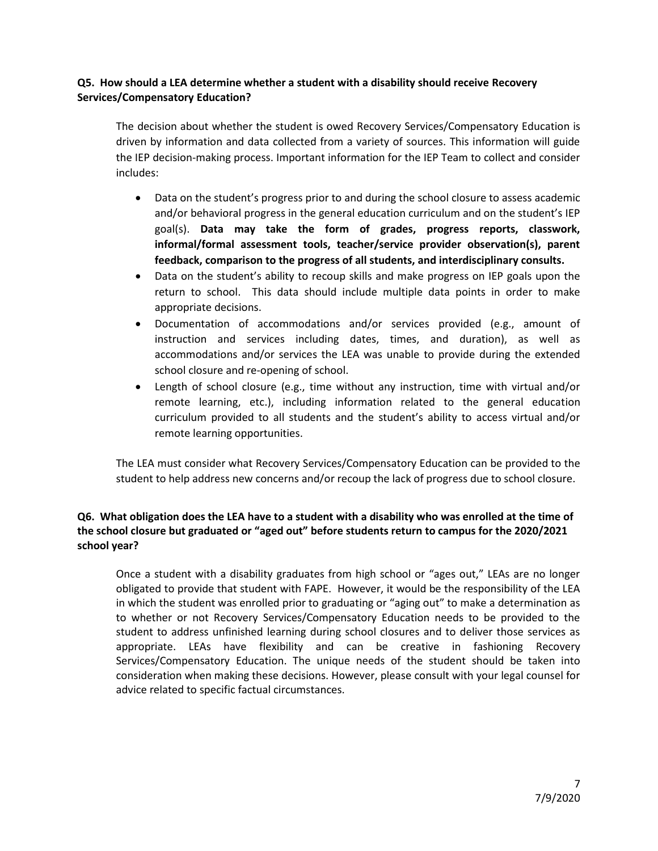# **Q5. How should a LEA determine whether a student with a disability should receive Recovery Services/Compensatory Education?**

The decision about whether the student is owed Recovery Services/Compensatory Education is driven by information and data collected from a variety of sources. This information will guide the IEP decision-making process. Important information for the IEP Team to collect and consider includes:

- Data on the student's progress prior to and during the school closure to assess academic and/or behavioral progress in the general education curriculum and on the student's IEP goal(s). **Data may take the form of grades, progress reports, classwork, informal/formal assessment tools, teacher/service provider observation(s), parent feedback, comparison to the progress of all students, and interdisciplinary consults.**
- Data on the student's ability to recoup skills and make progress on IEP goals upon the return to school. This data should include multiple data points in order to make appropriate decisions.
- Documentation of accommodations and/or services provided (e.g., amount of instruction and services including dates, times, and duration), as well as accommodations and/or services the LEA was unable to provide during the extended school closure and re-opening of school.
- Length of school closure (e.g., time without any instruction, time with virtual and/or remote learning, etc.), including information related to the general education curriculum provided to all students and the student's ability to access virtual and/or remote learning opportunities.

The LEA must consider what Recovery Services/Compensatory Education can be provided to the student to help address new concerns and/or recoup the lack of progress due to school closure.

# **Q6. What obligation does the LEA have to a student with a disability who was enrolled at the time of the school closure but graduated or "aged out" before students return to campus for the 2020/2021 school year?**

Once a student with a disability graduates from high school or "ages out," LEAs are no longer obligated to provide that student with FAPE. However, it would be the responsibility of the LEA in which the student was enrolled prior to graduating or "aging out" to make a determination as to whether or not Recovery Services/Compensatory Education needs to be provided to the student to address unfinished learning during school closures and to deliver those services as appropriate. LEAs have flexibility and can be creative in fashioning Recovery Services/Compensatory Education. The unique needs of the student should be taken into consideration when making these decisions. However, please consult with your legal counsel for advice related to specific factual circumstances.